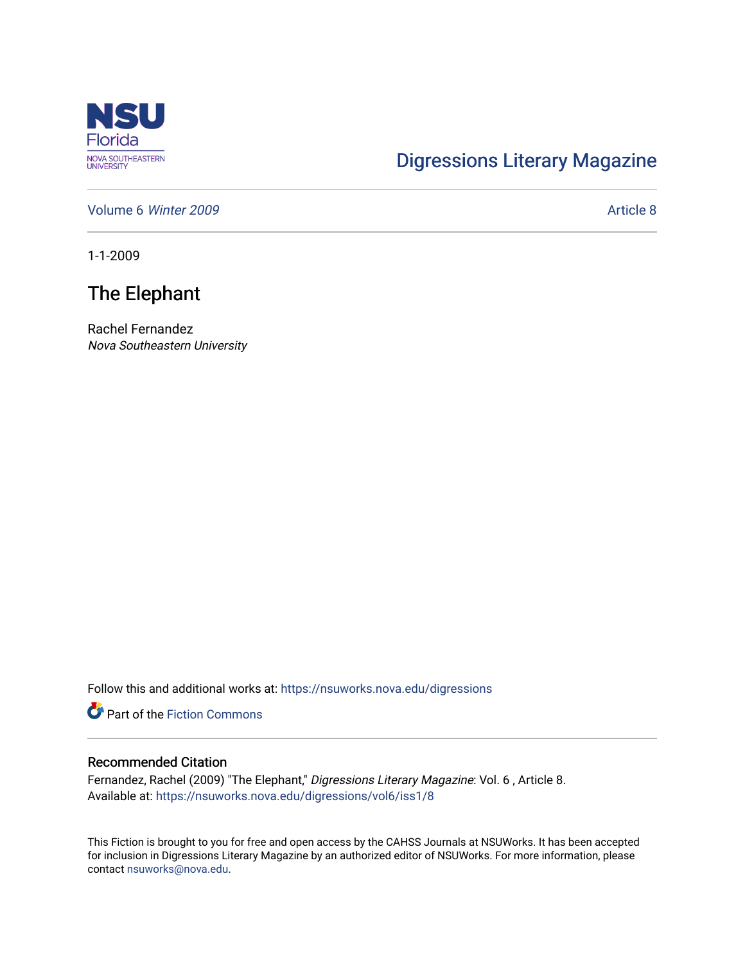

## [Digressions Literary Magazine](https://nsuworks.nova.edu/digressions)

[Volume 6](https://nsuworks.nova.edu/digressions/vol6) Winter 2009 **Article 8** Article 8

1-1-2009

## The Elephant

Rachel Fernandez Nova Southeastern University

Follow this and additional works at: [https://nsuworks.nova.edu/digressions](https://nsuworks.nova.edu/digressions?utm_source=nsuworks.nova.edu%2Fdigressions%2Fvol6%2Fiss1%2F8&utm_medium=PDF&utm_campaign=PDFCoverPages) 

**Part of the Fiction Commons** 

## Recommended Citation

Fernandez, Rachel (2009) "The Elephant," Digressions Literary Magazine: Vol. 6, Article 8. Available at: [https://nsuworks.nova.edu/digressions/vol6/iss1/8](https://nsuworks.nova.edu/digressions/vol6/iss1/8?utm_source=nsuworks.nova.edu%2Fdigressions%2Fvol6%2Fiss1%2F8&utm_medium=PDF&utm_campaign=PDFCoverPages) 

This Fiction is brought to you for free and open access by the CAHSS Journals at NSUWorks. It has been accepted for inclusion in Digressions Literary Magazine by an authorized editor of NSUWorks. For more information, please contact [nsuworks@nova.edu.](mailto:nsuworks@nova.edu)